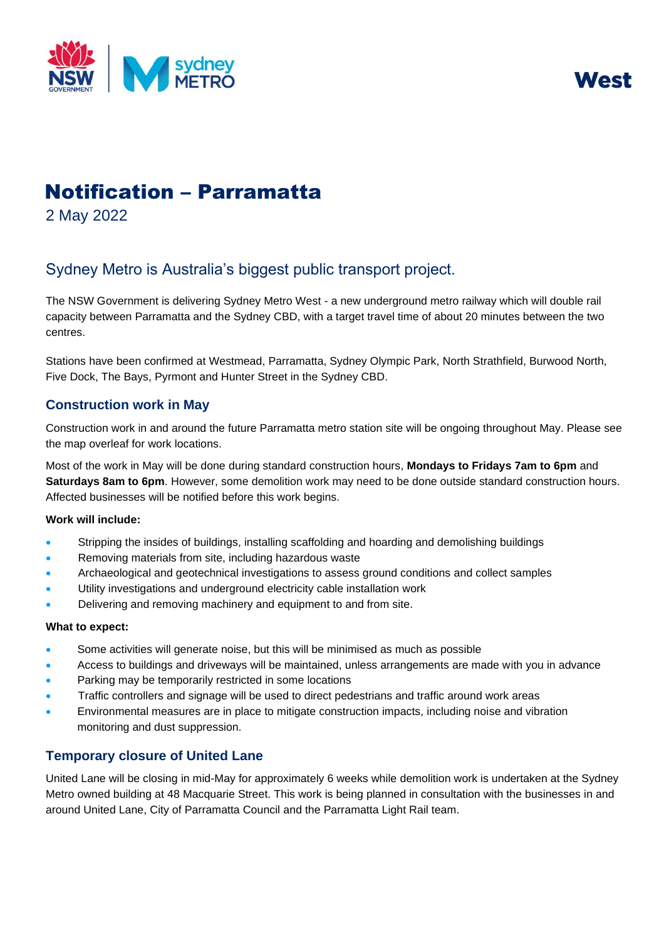



# Notification – Parramatta

2 May 2022

# Sydney Metro is Australia's biggest public transport project.

The NSW Government is delivering Sydney Metro West - a new underground metro railway which will double rail capacity between Parramatta and the Sydney CBD, with a target travel time of about 20 minutes between the two centres.

Stations have been confirmed at Westmead, Parramatta, Sydney Olympic Park, North Strathfield, Burwood North, Five Dock, The Bays, Pyrmont and Hunter Street in the Sydney CBD.

## **Construction work in May**

Construction work in and around the future Parramatta metro station site will be ongoing throughout May. Please see the map overleaf for work locations.

Most of the work in May will be done during standard construction hours, **Mondays to Fridays 7am to 6pm** and **Saturdays 8am to 6pm**. However, some demolition work may need to be done outside standard construction hours. Affected businesses will be notified before this work begins.

#### **Work will include:**

- Stripping the insides of buildings, installing scaffolding and hoarding and demolishing buildings
- Removing materials from site, including hazardous waste
- Archaeological and geotechnical investigations to assess ground conditions and collect samples
- Utility investigations and underground electricity cable installation work
- Delivering and removing machinery and equipment to and from site.

#### **What to expect:**

- Some activities will generate noise, but this will be minimised as much as possible
- Access to buildings and driveways will be maintained, unless arrangements are made with you in advance
- Parking may be temporarily restricted in some locations
- Traffic controllers and signage will be used to direct pedestrians and traffic around work areas
- Environmental measures are in place to mitigate construction impacts, including noise and vibration monitoring and dust suppression.

## **Temporary closure of United Lane**

United Lane will be closing in mid-May for approximately 6 weeks while demolition work is undertaken at the Sydney Metro owned building at 48 Macquarie Street. This work is being planned in consultation with the businesses in and around United Lane, City of Parramatta Council and the Parramatta Light Rail team.